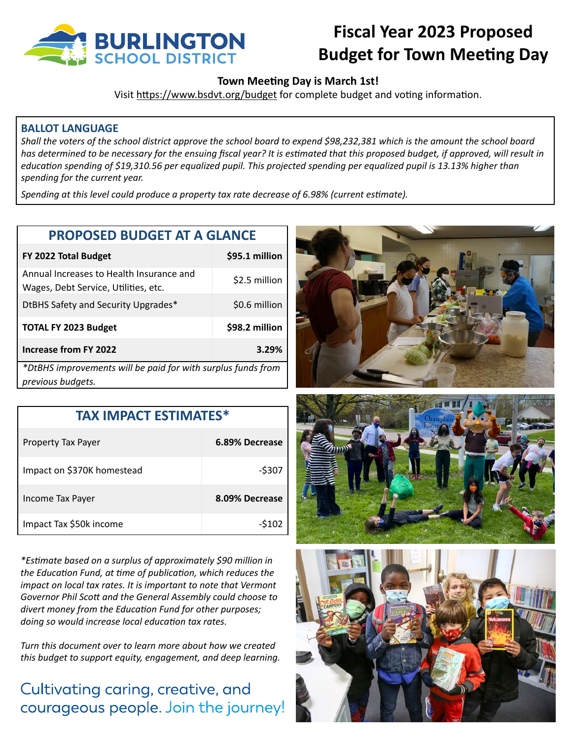

## **Fiscal Year 2023 Proposed Budget for Town Meeting Day**

### **Town Meeting Day is March 1st!**

Visit https://www.bsdvt.org/budget for complete budget and voting information.

#### **BALLOT LANGUAGE**

Shall the voters of the school district approve the school board to expend \$98,232,381 which is the amount the school board has determined to be necessary for the ensuing fiscal year? It is estimated that this proposed budget, if approved, will result in education spending of \$19,310.56 per equalized pupil. This projected spending per equalized pupil is 13.13% higher than spending for the current year.

Spending at this level could produce a property tax rate decrease of 6.98% (current estimate).

| <b>PROPOSED BUDGET AT A GLANCE</b> |  |  |
|------------------------------------|--|--|
|------------------------------------|--|--|

| FY 2022 Total Budget                                                             | \$95.1 million |  |
|----------------------------------------------------------------------------------|----------------|--|
| Annual Increases to Health Insurance and<br>Wages, Debt Service, Utilities, etc. | \$2.5 million  |  |
| DtBHS Safety and Security Upgrades*                                              | \$0.6 million  |  |
| <b>TOTAL FY 2023 Budget</b>                                                      | \$98.2 million |  |
| <b>Increase from FY 2022</b>                                                     | 3.29%          |  |
| *DtBHS improvements will be paid for with surplus funds from                     |                |  |
| previous budgets.                                                                |                |  |

| <b>TAX IMPACT ESTIMATES*</b> |                |  |
|------------------------------|----------------|--|
| Property Tax Payer           | 6.89% Decrease |  |
| Impact on \$370K homestead   | $-5307$        |  |
| Income Tax Payer             | 8.09% Decrease |  |
| Impact Tax \$50k income      | -\$102         |  |

*\*Estimate based on a surplus of approximately \$90 million in*  the Education Fund, at time of publication, which reduces the *impact on local tax rates. It is important to note that Vermont* Governor Phil Scott and the General Assembly could choose to divert money from the Education Fund for other purposes; doing so would increase local education tax rates.

Turn this document over to learn more about how we created *this budget to support equity, engagement, and deep learning.* 

## Cultivating caring, creative, and courageous people. Join the journey!